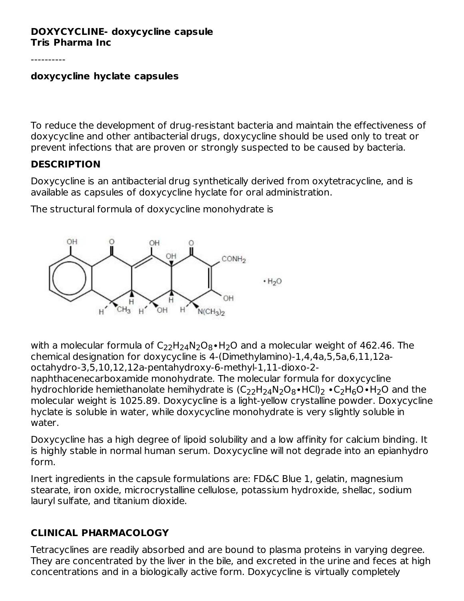#### **DOXYCYCLINE- doxycycline capsule Tris Pharma Inc**

----------

#### **doxycycline hyclate capsules**

To reduce the development of drug-resistant bacteria and maintain the effectiveness of doxycycline and other antibacterial drugs, doxycycline should be used only to treat or prevent infections that are proven or strongly suspected to be caused by bacteria.

#### **DESCRIPTION**

Doxycycline is an antibacterial drug synthetically derived from oxytetracycline, and is available as capsules of doxycycline hyclate for oral administration.

The structural formula of doxycycline monohydrate is



with a molecular formula of C<sub>22</sub>H<sub>24</sub>N<sub>2</sub>O<sub>8</sub>•H<sub>2</sub>O and a molecular weight of 462.46. The chemical designation for doxycycline is 4-(Dimethylamino)-1,4,4a,5,5a,6,11,12aoctahydro-3,5,10,12,12a-pentahydroxy-6-methyl-1,11-dioxo-2 naphthacenecarboxamide monohydrate. The molecular formula for doxycycline hydrochloride hemiethanolate hemihydrate is (C $_{22}$ H $_{24}$ N $_{2}$ O $_{8}$ •HCl) $_{2}$  •C $_{2}$ H $_{6}$ O•H $_{2}$ O and the molecular weight is 1025.89. Doxycycline is a light-yellow crystalline powder. Doxycycline hyclate is soluble in water, while doxycycline monohydrate is very slightly soluble in water.

Doxycycline has a high degree of lipoid solubility and a low affinity for calcium binding. It is highly stable in normal human serum. Doxycycline will not degrade into an epianhydro form.

Inert ingredients in the capsule formulations are: FD&C Blue 1, gelatin, magnesium stearate, iron oxide, microcrystalline cellulose, potassium hydroxide, shellac, sodium lauryl sulfate, and titanium dioxide.

## **CLINICAL PHARMACOLOGY**

Tetracyclines are readily absorbed and are bound to plasma proteins in varying degree. They are concentrated by the liver in the bile, and excreted in the urine and feces at high concentrations and in a biologically active form. Doxycycline is virtually completely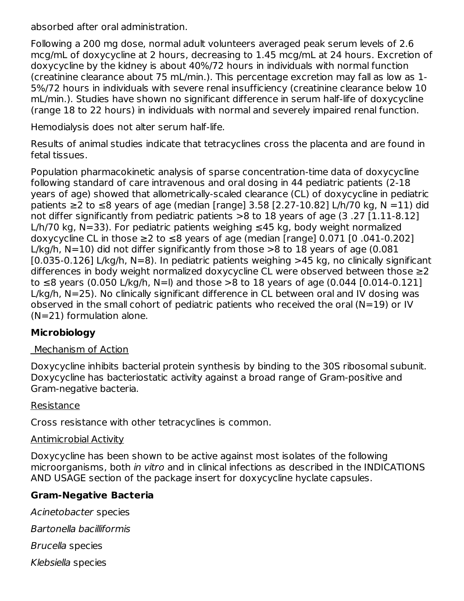absorbed after oral administration.

Following a 200 mg dose, normal adult volunteers averaged peak serum levels of 2.6 mcg/mL of doxycycline at 2 hours, decreasing to 1.45 mcg/mL at 24 hours. Excretion of doxycycline by the kidney is about 40%/72 hours in individuals with normal function (creatinine clearance about 75 mL/min.). This percentage excretion may fall as low as 1- 5%/72 hours in individuals with severe renal insufficiency (creatinine clearance below 10 mL/min.). Studies have shown no significant difference in serum half-life of doxycycline (range 18 to 22 hours) in individuals with normal and severely impaired renal function.

Hemodialysis does not alter serum half-life.

Results of animal studies indicate that tetracyclines cross the placenta and are found in fetal tissues.

Population pharmacokinetic analysis of sparse concentration-time data of doxycycline following standard of care intravenous and oral dosing in 44 pediatric patients (2-18 years of age) showed that allometrically-scaled clearance (CL) of doxycycline in pediatric patients  $\geq$  2 to  $\leq$ 8 years of age (median [range] 3.58 [2.27-10.82] L/h/70 kg, N = 11) did not differ significantly from pediatric patients >8 to 18 years of age (3 .27 [1.11-8.12] L/h/70 kg, N=33). For pediatric patients weighing  $\leq$ 45 kg, body weight normalized doxycycline CL in those  $\geq$ 2 to  $\leq$ 8 years of age (median [range] 0.071 [0.041-0.202] L/kg/h,  $N=10$ ) did not differ significantly from those  $>8$  to 18 years of age (0.081  $[0.035-0.126]$  L/kg/h, N=8). In pediatric patients weighing  $>45$  kg, no clinically significant differences in body weight normalized doxycycline CL were observed between those ≥2 to  $≤8$  years (0.050 L/kg/h, N=I) and those >8 to 18 years of age (0.044 [0.014-0.121] L/kg/h, N=25). No clinically significant difference in CL between oral and IV dosing was observed in the small cohort of pediatric patients who received the oral (N=19) or IV (N=21) formulation alone.

# **Microbiology**

## Mechanism of Action

Doxycycline inhibits bacterial protein synthesis by binding to the 30S ribosomal subunit. Doxycycline has bacteriostatic activity against a broad range of Gram-positive and Gram-negative bacteria.

## Resistance

Cross resistance with other tetracyclines is common.

## Antimicrobial Activity

Doxycycline has been shown to be active against most isolates of the following microorganisms, both in vitro and in clinical infections as described in the INDICATIONS AND USAGE section of the package insert for doxycycline hyclate capsules.

## **Gram-Negative Bacteria**

Acinetobacter species Bartonella bacilliformis Brucella species Klebsiella species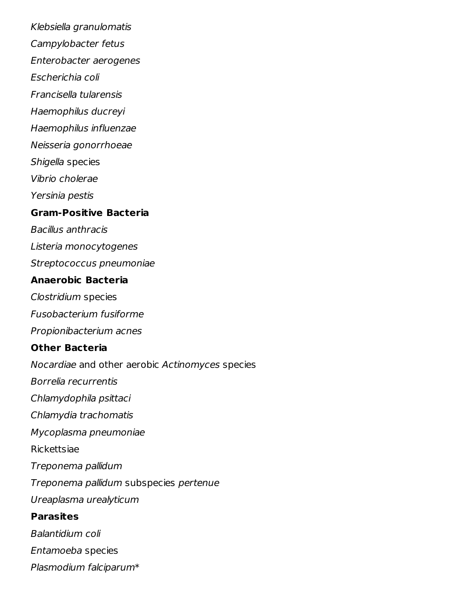Klebsiella granulomatis Campylobacter fetus Enterobacter aerogenes Escherichia coli Francisella tularensis Haemophilus ducreyi Haemophilus influenzae Neisseria gonorrhoeae Shigella species Vibrio cholerae Yersinia pestis **Gram-Positive Bacteria** Bacillus anthracis Listeria monocytogenes Streptococcus pneumoniae **Anaerobic Bacteria** Clostridium species Fusobacterium fusiforme Propionibacterium acnes **Other Bacteria** Nocardiae and other aerobic Actinomyces species Borrelia recurrentis Chlamydophila psittaci Chlamydia trachomatis Mycoplasma pneumoniae Rickettsiae Treponema pallidum Treponema pallidum subspecies pertenue Ureaplasma urealyticum **Parasites** Balantidium coli Entamoeba species Plasmodium falciparum\*

\*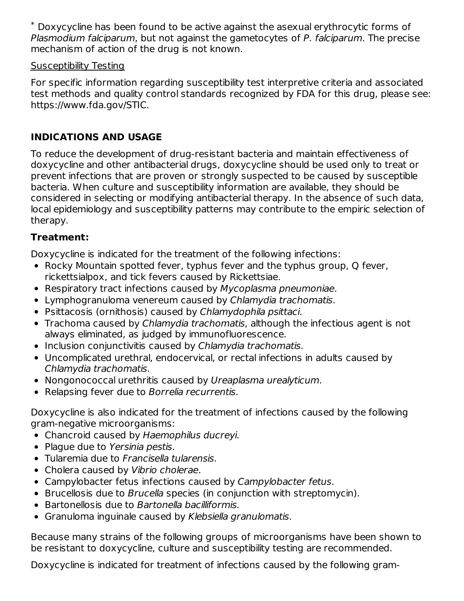$^*$  Doxycycline has been found to be active against the asexual erythrocytic forms of Plasmodium falciparum, but not against the gametocytes of P. falciparum. The precise mechanism of action of the drug is not known.

## Susceptibility Testing

For specific information regarding susceptibility test interpretive criteria and associated test methods and quality control standards recognized by FDA for this drug, please see: https://www.fda.gov/STIC.

# **INDICATIONS AND USAGE**

To reduce the development of drug-resistant bacteria and maintain effectiveness of doxycycline and other antibacterial drugs, doxycycline should be used only to treat or prevent infections that are proven or strongly suspected to be caused by susceptible bacteria. When culture and susceptibility information are available, they should be considered in selecting or modifying antibacterial therapy. In the absence of such data, local epidemiology and susceptibility patterns may contribute to the empiric selection of therapy.

# **Treatment:**

Doxycycline is indicated for the treatment of the following infections:

- Rocky Mountain spotted fever, typhus fever and the typhus group, Q fever, rickettsialpox, and tick fevers caused by Rickettsiae.
- Respiratory tract infections caused by Mycoplasma pneumoniae.
- Lymphogranuloma venereum caused by Chlamydia trachomatis.
- Psittacosis (ornithosis) caused by Chlamydophila psittaci.
- Trachoma caused by Chlamydia trachomatis, although the infectious agent is not always eliminated, as judged by immunofluorescence.
- Inclusion conjunctivitis caused by Chlamydia trachomatis.
- Uncomplicated urethral, endocervical, or rectal infections in adults caused by Chlamydia trachomatis.
- Nongonococcal urethritis caused by Ureaplasma urealyticum.
- Relapsing fever due to Borrelia recurrentis.

Doxycycline is also indicated for the treatment of infections caused by the following gram-negative microorganisms:

- Chancroid caused by Haemophilus ducreyi.
- Plague due to Yersinia pestis.
- Tularemia due to Francisella tularensis.
- Cholera caused by Vibrio cholerae.
- Campylobacter fetus infections caused by Campylobacter fetus.
- Brucellosis due to *Brucella* species (in conjunction with streptomycin).
- Bartonellosis due to Bartonella bacilliformis.
- Granuloma inguinale caused by Klebsiella granulomatis.

Because many strains of the following groups of microorganisms have been shown to be resistant to doxycycline, culture and susceptibility testing are recommended.

Doxycycline is indicated for treatment of infections caused by the following gram-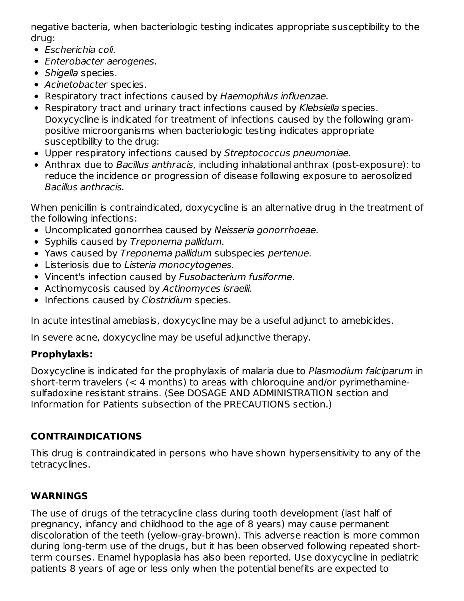negative bacteria, when bacteriologic testing indicates appropriate susceptibility to the drug:

- Escherichia coli.
- Enterobacter aerogenes.
- Shigella species.
- Acinetobacter species.
- Respiratory tract infections caused by Haemophilus influenzae.
- Respiratory tract and urinary tract infections caused by Klebsiella species. Doxycycline is indicated for treatment of infections caused by the following grampositive microorganisms when bacteriologic testing indicates appropriate susceptibility to the drug:
- Upper respiratory infections caused by Streptococcus pneumoniae.
- Anthrax due to Bacillus anthracis, including inhalational anthrax (post-exposure): to reduce the incidence or progression of disease following exposure to aerosolized Bacillus anthracis.

When penicillin is contraindicated, doxycycline is an alternative drug in the treatment of the following infections:

- Uncomplicated gonorrhea caused by Neisseria gonorrhoeae.
- Syphilis caused by Treponema pallidum.
- Yaws caused by Treponema pallidum subspecies pertenue.
- Listeriosis due to Listeria monocytogenes.
- Vincent's infection caused by Fusobacterium fusiforme.
- Actinomycosis caused by Actinomyces israelii.
- Infections caused by Clostridium species.

In acute intestinal amebiasis, doxycycline may be a useful adjunct to amebicides.

In severe acne, doxycycline may be useful adjunctive therapy.

# **Prophylaxis:**

Doxycycline is indicated for the prophylaxis of malaria due to Plasmodium falciparum in short-term travelers (< 4 months) to areas with chloroquine and/or pyrimethaminesulfadoxine resistant strains. (See DOSAGE AND ADMINISTRATION section and Information for Patients subsection of the PRECAUTIONS section.)

# **CONTRAINDICATIONS**

This drug is contraindicated in persons who have shown hypersensitivity to any of the tetracyclines.

# **WARNINGS**

The use of drugs of the tetracycline class during tooth development (last half of pregnancy, infancy and childhood to the age of 8 years) may cause permanent discoloration of the teeth (yellow-gray-brown). This adverse reaction is more common during long-term use of the drugs, but it has been observed following repeated shortterm courses. Enamel hypoplasia has also been reported. Use doxycycline in pediatric patients 8 years of age or less only when the potential benefits are expected to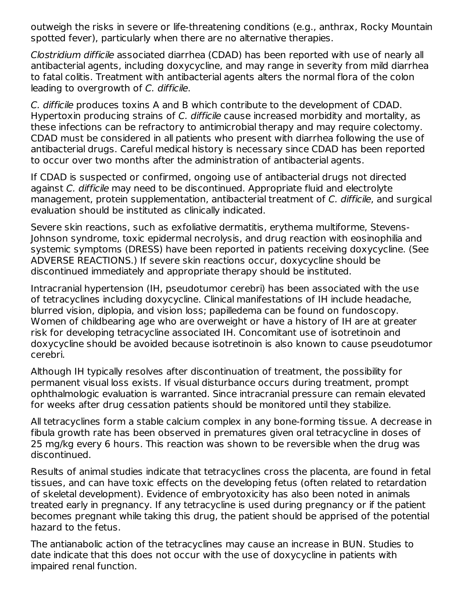outweigh the risks in severe or life-threatening conditions (e.g., anthrax, Rocky Mountain spotted fever), particularly when there are no alternative therapies.

Clostridium difficile associated diarrhea (CDAD) has been reported with use of nearly all antibacterial agents, including doxycycline, and may range in severity from mild diarrhea to fatal colitis. Treatment with antibacterial agents alters the normal flora of the colon leading to overgrowth of C. difficile.

C. difficile produces toxins A and B which contribute to the development of CDAD. Hypertoxin producing strains of C. difficile cause increased morbidity and mortality, as these infections can be refractory to antimicrobial therapy and may require colectomy. CDAD must be considered in all patients who present with diarrhea following the use of antibacterial drugs. Careful medical history is necessary since CDAD has been reported to occur over two months after the administration of antibacterial agents.

If CDAD is suspected or confirmed, ongoing use of antibacterial drugs not directed against C. difficile may need to be discontinued. Appropriate fluid and electrolyte management, protein supplementation, antibacterial treatment of C. difficile, and surgical evaluation should be instituted as clinically indicated.

Severe skin reactions, such as exfoliative dermatitis, erythema multiforme, Stevens-Johnson syndrome, toxic epidermal necrolysis, and drug reaction with eosinophilia and systemic symptoms (DRESS) have been reported in patients receiving doxycycline. (See ADVERSE REACTIONS.) If severe skin reactions occur, doxycycline should be discontinued immediately and appropriate therapy should be instituted.

Intracranial hypertension (IH, pseudotumor cerebri) has been associated with the use of tetracyclines including doxycycline. Clinical manifestations of IH include headache, blurred vision, diplopia, and vision loss; papilledema can be found on fundoscopy. Women of childbearing age who are overweight or have a history of IH are at greater risk for developing tetracycline associated IH. Concomitant use of isotretinoin and doxycycline should be avoided because isotretinoin is also known to cause pseudotumor cerebri.

Although IH typically resolves after discontinuation of treatment, the possibility for permanent visual loss exists. If visual disturbance occurs during treatment, prompt ophthalmologic evaluation is warranted. Since intracranial pressure can remain elevated for weeks after drug cessation patients should be monitored until they stabilize.

All tetracyclines form a stable calcium complex in any bone-forming tissue. A decrease in fibula growth rate has been observed in prematures given oral tetracycline in doses of 25 mg/kg every 6 hours. This reaction was shown to be reversible when the drug was discontinued.

Results of animal studies indicate that tetracyclines cross the placenta, are found in fetal tissues, and can have toxic effects on the developing fetus (often related to retardation of skeletal development). Evidence of embryotoxicity has also been noted in animals treated early in pregnancy. If any tetracycline is used during pregnancy or if the patient becomes pregnant while taking this drug, the patient should be apprised of the potential hazard to the fetus.

The antianabolic action of the tetracyclines may cause an increase in BUN. Studies to date indicate that this does not occur with the use of doxycycline in patients with impaired renal function.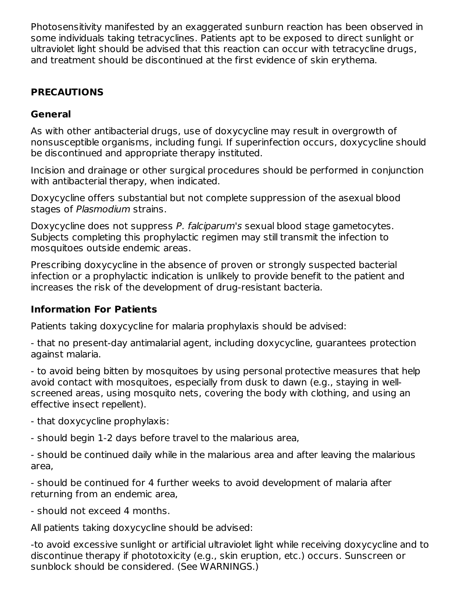Photosensitivity manifested by an exaggerated sunburn reaction has been observed in some individuals taking tetracyclines. Patients apt to be exposed to direct sunlight or ultraviolet light should be advised that this reaction can occur with tetracycline drugs, and treatment should be discontinued at the first evidence of skin erythema.

# **PRECAUTIONS**

# **General**

As with other antibacterial drugs, use of doxycycline may result in overgrowth of nonsusceptible organisms, including fungi. If superinfection occurs, doxycycline should be discontinued and appropriate therapy instituted.

Incision and drainage or other surgical procedures should be performed in conjunction with antibacterial therapy, when indicated.

Doxycycline offers substantial but not complete suppression of the asexual blood stages of Plasmodium strains.

Doxycycline does not suppress P. falciparum's sexual blood stage gametocytes. Subjects completing this prophylactic regimen may still transmit the infection to mosquitoes outside endemic areas.

Prescribing doxycycline in the absence of proven or strongly suspected bacterial infection or a prophylactic indication is unlikely to provide benefit to the patient and increases the risk of the development of drug-resistant bacteria.

## **Information For Patients**

Patients taking doxycycline for malaria prophylaxis should be advised:

- that no present-day antimalarial agent, including doxycycline, guarantees protection against malaria.

- to avoid being bitten by mosquitoes by using personal protective measures that help avoid contact with mosquitoes, especially from dusk to dawn (e.g., staying in wellscreened areas, using mosquito nets, covering the body with clothing, and using an effective insect repellent).

- that doxycycline prophylaxis:

- should begin 1-2 days before travel to the malarious area,

- should be continued daily while in the malarious area and after leaving the malarious area,

- should be continued for 4 further weeks to avoid development of malaria after returning from an endemic area,

- should not exceed 4 months.

All patients taking doxycycline should be advised:

-to avoid excessive sunlight or artificial ultraviolet light while receiving doxycycline and to discontinue therapy if phototoxicity (e.g., skin eruption, etc.) occurs. Sunscreen or sunblock should be considered. (See WARNINGS.)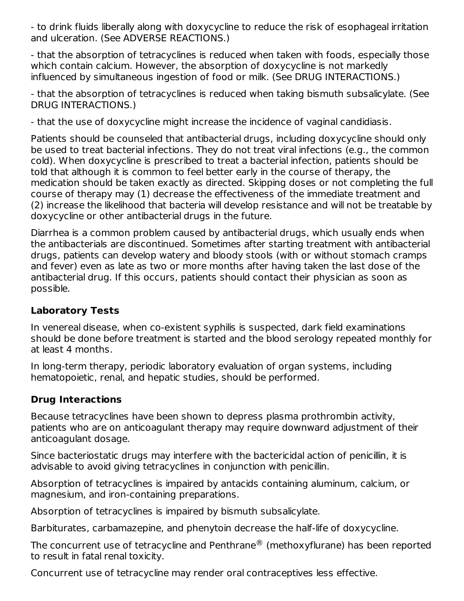- to drink fluids liberally along with doxycycline to reduce the risk of esophageal irritation and ulceration. (See ADVERSE REACTIONS.)

- that the absorption of tetracyclines is reduced when taken with foods, especially those which contain calcium. However, the absorption of doxycycline is not markedly influenced by simultaneous ingestion of food or milk. (See DRUG INTERACTIONS.)

- that the absorption of tetracyclines is reduced when taking bismuth subsalicylate. (See DRUG INTERACTIONS.)

- that the use of doxycycline might increase the incidence of vaginal candidiasis.

Patients should be counseled that antibacterial drugs, including doxycycline should only be used to treat bacterial infections. They do not treat viral infections (e.g., the common cold). When doxycycline is prescribed to treat a bacterial infection, patients should be told that although it is common to feel better early in the course of therapy, the medication should be taken exactly as directed. Skipping doses or not completing the full course of therapy may (1) decrease the effectiveness of the immediate treatment and (2) increase the likelihood that bacteria will develop resistance and will not be treatable by doxycycline or other antibacterial drugs in the future.

Diarrhea is a common problem caused by antibacterial drugs, which usually ends when the antibacterials are discontinued. Sometimes after starting treatment with antibacterial drugs, patients can develop watery and bloody stools (with or without stomach cramps and fever) even as late as two or more months after having taken the last dose of the antibacterial drug. If this occurs, patients should contact their physician as soon as possible.

# **Laboratory Tests**

In venereal disease, when co-existent syphilis is suspected, dark field examinations should be done before treatment is started and the blood serology repeated monthly for at least 4 months.

In long-term therapy, periodic laboratory evaluation of organ systems, including hematopoietic, renal, and hepatic studies, should be performed.

# **Drug Interactions**

Because tetracyclines have been shown to depress plasma prothrombin activity, patients who are on anticoagulant therapy may require downward adjustment of their anticoagulant dosage.

Since bacteriostatic drugs may interfere with the bactericidal action of penicillin, it is advisable to avoid giving tetracyclines in conjunction with penicillin.

Absorption of tetracyclines is impaired by antacids containing aluminum, calcium, or magnesium, and iron-containing preparations.

Absorption of tetracyclines is impaired by bismuth subsalicylate.

Barbiturates, carbamazepine, and phenytoin decrease the half-life of doxycycline.

The concurrent use of tetracycline and Penthrane $^\circledR$  (methoxyflurane) has been reported to result in fatal renal toxicity.

Concurrent use of tetracycline may render oral contraceptives less effective.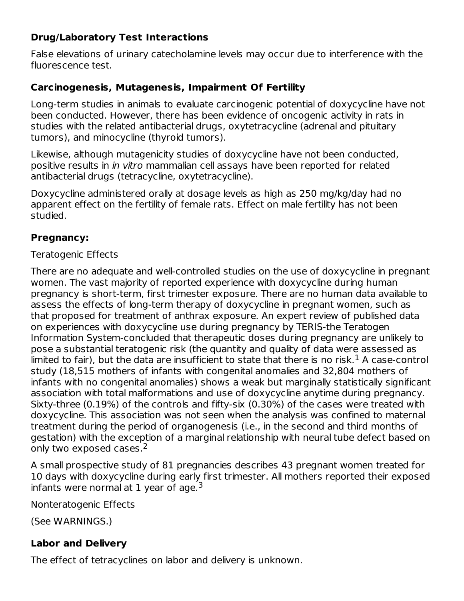# **Drug/Laboratory Test Interactions**

False elevations of urinary catecholamine levels may occur due to interference with the fluorescence test.

## **Carcinogenesis, Mutagenesis, Impairment Of Fertility**

Long-term studies in animals to evaluate carcinogenic potential of doxycycline have not been conducted. However, there has been evidence of oncogenic activity in rats in studies with the related antibacterial drugs, oxytetracycline (adrenal and pituitary tumors), and minocycline (thyroid tumors).

Likewise, although mutagenicity studies of doxycycline have not been conducted, positive results in in vitro mammalian cell assays have been reported for related antibacterial drugs (tetracycline, oxytetracycline).

Doxycycline administered orally at dosage levels as high as 250 mg/kg/day had no apparent effect on the fertility of female rats. Effect on male fertility has not been studied.

## **Pregnancy:**

## Teratogenic Effects

There are no adequate and well-controlled studies on the use of doxycycline in pregnant women. The vast majority of reported experience with doxycycline during human pregnancy is short-term, first trimester exposure. There are no human data available to assess the effects of long-term therapy of doxycycline in pregnant women, such as that proposed for treatment of anthrax exposure. An expert review of published data on experiences with doxycycline use during pregnancy by TERIS-the Teratogen Information System-concluded that therapeutic doses during pregnancy are unlikely to pose a substantial teratogenic risk (the quantity and quality of data were assessed as limited to fair), but the data are insufficient to state that there is no risk. $^1$  A case-control study (18,515 mothers of infants with congenital anomalies and 32,804 mothers of infants with no congenital anomalies) shows a weak but marginally statistically significant association with total malformations and use of doxycycline anytime during pregnancy. Sixty-three (0.19%) of the controls and fifty-six (0.30%) of the cases were treated with doxycycline. This association was not seen when the analysis was confined to maternal treatment during the period of organogenesis (i.e., in the second and third months of gestation) with the exception of a marginal relationship with neural tube defect based on only two exposed cases.<sup>2</sup>

A small prospective study of 81 pregnancies describes 43 pregnant women treated for 10 days with doxycycline during early first trimester. All mothers reported their exposed infants were normal at 1 year of age.<sup>3</sup>

Nonteratogenic Effects

(See WARNINGS.)

# **Labor and Delivery**

The effect of tetracyclines on labor and delivery is unknown.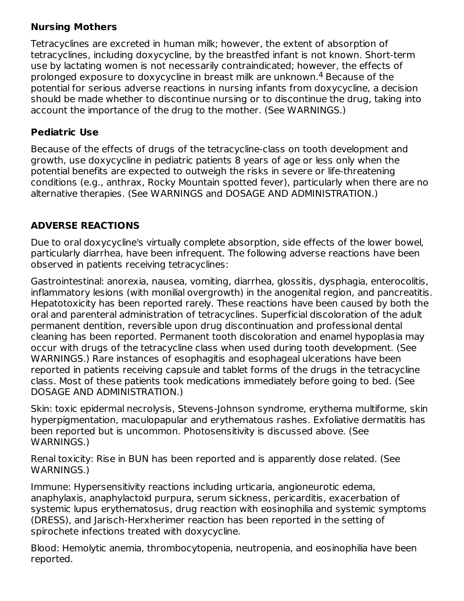# **Nursing Mothers**

Tetracyclines are excreted in human milk; however, the extent of absorption of tetracyclines, including doxycycline, by the breastfed infant is not known. Short-term use by lactating women is not necessarily contraindicated; however, the effects of prolonged exposure to doxycycline in breast milk are unknown. $\rm ^4$  Because of the potential for serious adverse reactions in nursing infants from doxycycline, a decision should be made whether to discontinue nursing or to discontinue the drug, taking into account the importance of the drug to the mother. (See WARNINGS.)

## **Pediatric Use**

Because of the effects of drugs of the tetracycline-class on tooth development and growth, use doxycycline in pediatric patients 8 years of age or less only when the potential benefits are expected to outweigh the risks in severe or life-threatening conditions (e.g., anthrax, Rocky Mountain spotted fever), particularly when there are no alternative therapies. (See WARNINGS and DOSAGE AND ADMINISTRATION.)

# **ADVERSE REACTIONS**

Due to oral doxycycline's virtually complete absorption, side effects of the lower bowel, particularly diarrhea, have been infrequent. The following adverse reactions have been observed in patients receiving tetracyclines:

Gastrointestinal: anorexia, nausea, vomiting, diarrhea, glossitis, dysphagia, enterocolitis, inflammatory lesions (with monilial overgrowth) in the anogenital region, and pancreatitis. Hepatotoxicity has been reported rarely. These reactions have been caused by both the oral and parenteral administration of tetracyclines. Superficial discoloration of the adult permanent dentition, reversible upon drug discontinuation and professional dental cleaning has been reported. Permanent tooth discoloration and enamel hypoplasia may occur with drugs of the tetracycline class when used during tooth development. (See WARNINGS.) Rare instances of esophagitis and esophageal ulcerations have been reported in patients receiving capsule and tablet forms of the drugs in the tetracycline class. Most of these patients took medications immediately before going to bed. (See DOSAGE AND ADMINISTRATION.)

Skin: toxic epidermal necrolysis, Stevens-Johnson syndrome, erythema multiforme, skin hyperpigmentation, maculopapular and erythematous rashes. Exfoliative dermatitis has been reported but is uncommon. Photosensitivity is discussed above. (See WARNINGS.)

Renal toxicity: Rise in BUN has been reported and is apparently dose related. (See WARNINGS.)

Immune: Hypersensitivity reactions including urticaria, angioneurotic edema, anaphylaxis, anaphylactoid purpura, serum sickness, pericarditis, exacerbation of systemic lupus erythematosus, drug reaction with eosinophilia and systemic symptoms (DRESS), and Jarisch-Herxherimer reaction has been reported in the setting of spirochete infections treated with doxycycline.

Blood: Hemolytic anemia, thrombocytopenia, neutropenia, and eosinophilia have been reported.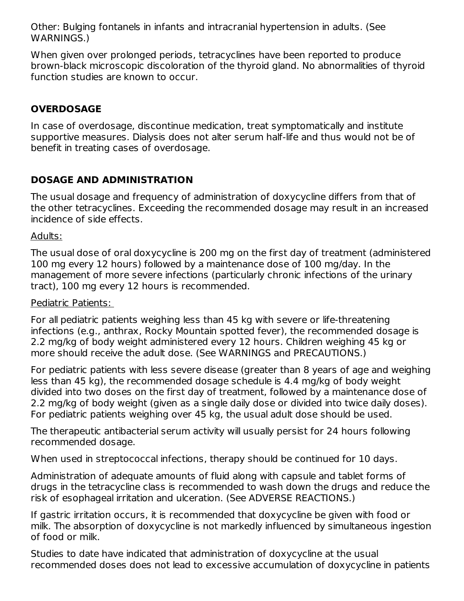Other: Bulging fontanels in infants and intracranial hypertension in adults. (See WARNINGS.)

When given over prolonged periods, tetracyclines have been reported to produce brown-black microscopic discoloration of the thyroid gland. No abnormalities of thyroid function studies are known to occur.

# **OVERDOSAGE**

In case of overdosage, discontinue medication, treat symptomatically and institute supportive measures. Dialysis does not alter serum half-life and thus would not be of benefit in treating cases of overdosage.

# **DOSAGE AND ADMINISTRATION**

The usual dosage and frequency of administration of doxycycline differs from that of the other tetracyclines. Exceeding the recommended dosage may result in an increased incidence of side effects.

## Adults:

The usual dose of oral doxycycline is 200 mg on the first day of treatment (administered 100 mg every 12 hours) followed by a maintenance dose of 100 mg/day. In the management of more severe infections (particularly chronic infections of the urinary tract), 100 mg every 12 hours is recommended.

## Pediatric Patients:

For all pediatric patients weighing less than 45 kg with severe or life-threatening infections (e.g., anthrax, Rocky Mountain spotted fever), the recommended dosage is 2.2 mg/kg of body weight administered every 12 hours. Children weighing 45 kg or more should receive the adult dose. (See WARNINGS and PRECAUTIONS.)

For pediatric patients with less severe disease (greater than 8 years of age and weighing less than 45 kg), the recommended dosage schedule is 4.4 mg/kg of body weight divided into two doses on the first day of treatment, followed by a maintenance dose of 2.2 mg/kg of body weight (given as a single daily dose or divided into twice daily doses). For pediatric patients weighing over 45 kg, the usual adult dose should be used.

The therapeutic antibacterial serum activity will usually persist for 24 hours following recommended dosage.

When used in streptococcal infections, therapy should be continued for 10 days.

Administration of adequate amounts of fluid along with capsule and tablet forms of drugs in the tetracycline class is recommended to wash down the drugs and reduce the risk of esophageal irritation and ulceration. (See ADVERSE REACTIONS.)

If gastric irritation occurs, it is recommended that doxycycline be given with food or milk. The absorption of doxycycline is not markedly influenced by simultaneous ingestion of food or milk.

Studies to date have indicated that administration of doxycycline at the usual recommended doses does not lead to excessive accumulation of doxycycline in patients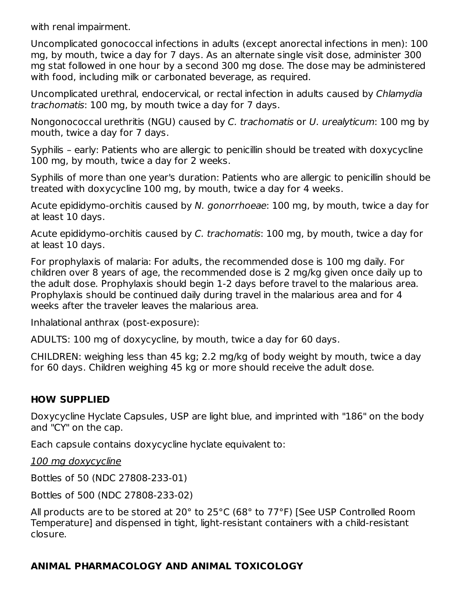with renal impairment.

Uncomplicated gonococcal infections in adults (except anorectal infections in men): 100 mg, by mouth, twice a day for 7 days. As an alternate single visit dose, administer 300 mg stat followed in one hour by a second 300 mg dose. The dose may be administered with food, including milk or carbonated beverage, as required.

Uncomplicated urethral, endocervical, or rectal infection in adults caused by Chlamydia trachomatis: 100 mg, by mouth twice a day for 7 days.

Nongonococcal urethritis (NGU) caused by C. trachomatis or U. urealyticum: 100 mg by mouth, twice a day for 7 days.

Syphilis – early: Patients who are allergic to penicillin should be treated with doxycycline 100 mg, by mouth, twice a day for 2 weeks.

Syphilis of more than one year's duration: Patients who are allergic to penicillin should be treated with doxycycline 100 mg, by mouth, twice a day for 4 weeks.

Acute epididymo-orchitis caused by N. gonorrhoeae: 100 mg, by mouth, twice a day for at least 10 days.

Acute epididymo-orchitis caused by C. trachomatis: 100 mg, by mouth, twice a day for at least 10 days.

For prophylaxis of malaria: For adults, the recommended dose is 100 mg daily. For children over 8 years of age, the recommended dose is 2 mg/kg given once daily up to the adult dose. Prophylaxis should begin 1-2 days before travel to the malarious area. Prophylaxis should be continued daily during travel in the malarious area and for 4 weeks after the traveler leaves the malarious area.

Inhalational anthrax (post-exposure):

ADULTS: 100 mg of doxycycline, by mouth, twice a day for 60 days.

CHILDREN: weighing less than 45 kg; 2.2 mg/kg of body weight by mouth, twice a day for 60 days. Children weighing 45 kg or more should receive the adult dose.

# **HOW SUPPLIED**

Doxycycline Hyclate Capsules, USP are light blue, and imprinted with "186" on the body and "CY" on the cap.

Each capsule contains doxycycline hyclate equivalent to:

100 mg doxycycline

Bottles of 50 (NDC 27808-233-01)

Bottles of 500 (NDC 27808-233-02)

All products are to be stored at 20° to 25°C (68° to 77°F) [See USP Controlled Room Temperature] and dispensed in tight, light-resistant containers with a child-resistant closure.

# **ANIMAL PHARMACOLOGY AND ANIMAL TOXICOLOGY**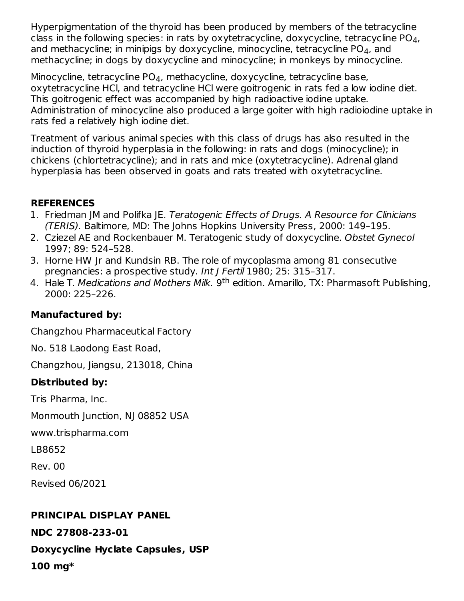Hyperpigmentation of the thyroid has been produced by members of the tetracycline class in the following species: in rats by oxytetracycline, doxycycline, tetracycline PO $_{\rm 4}$ , and methacycline; in minipigs by doxycycline, minocycline, tetracycline PO $_{\rm 4}$ , and methacycline; in dogs by doxycycline and minocycline; in monkeys by minocycline.

Minocycline, tetracycline PO $_4$ , methacycline, doxycycline, tetracycline base, oxytetracycline HCl, and tetracycline HCl were goitrogenic in rats fed a low iodine diet. This goitrogenic effect was accompanied by high radioactive iodine uptake. Administration of minocycline also produced a large goiter with high radioiodine uptake in rats fed a relatively high iodine diet.

Treatment of various animal species with this class of drugs has also resulted in the induction of thyroid hyperplasia in the following: in rats and dogs (minocycline); in chickens (chlortetracycline); and in rats and mice (oxytetracycline). Adrenal gland hyperplasia has been observed in goats and rats treated with oxytetracycline.

# **REFERENCES**

- 1. Friedman JM and Polifka JE. Teratogenic Effects of Drugs. A Resource for Clinicians (TERIS). Baltimore, MD: The Johns Hopkins University Press, 2000: 149–195.
- 2. Cziezel AE and Rockenbauer M. Teratogenic study of doxycycline. Obstet Gynecol 1997; 89: 524–528.
- 3. Horne HW Jr and Kundsin RB. The role of mycoplasma among 81 consecutive pregnancies: a prospective study. Int J Fertil 1980; 25: 315–317.
- 4. Hale T. *Medications and Mothers Milk.* 9<sup>th</sup> edition. Amarillo, TX: Pharmasoft Publishing, 2000: 225–226.

# **Manufactured by:**

Changzhou Pharmaceutical Factory

No. 518 Laodong East Road,

Changzhou, Jiangsu, 213018, China

# **Distributed by:**

Tris Pharma, Inc.

Monmouth Junction, NJ 08852 USA

www.trispharma.com

LB8652

Rev. 00

Revised 06/2021

# **PRINCIPAL DISPLAY PANEL**

**NDC 27808-233-01**

**Doxycycline Hyclate Capsules, USP**

**100 mg\***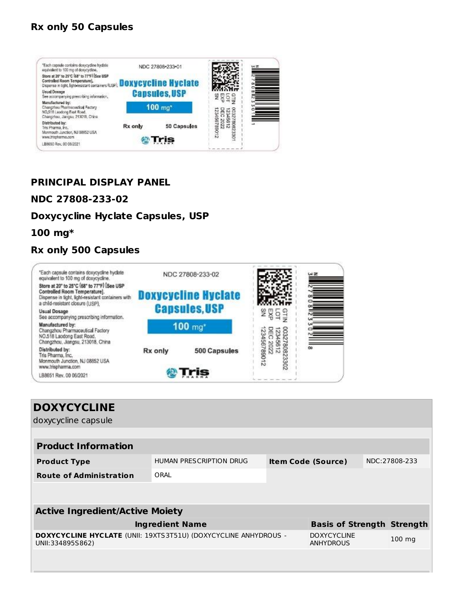## **Rx only 50 Capsules**



## **PRINCIPAL DISPLAY PANEL**

#### **NDC 27808-233-02**

#### **Doxycycline Hyclate Capsules, USP**

#### **100 mg\***

## **Rx only 500 Capsules**



| <b>DOXYCYCLINE</b>                                                                         |                                |  |                                        |  |                  |  |  |  |  |
|--------------------------------------------------------------------------------------------|--------------------------------|--|----------------------------------------|--|------------------|--|--|--|--|
| doxycycline capsule                                                                        |                                |  |                                        |  |                  |  |  |  |  |
|                                                                                            |                                |  |                                        |  |                  |  |  |  |  |
| <b>Product Information</b>                                                                 |                                |  |                                        |  |                  |  |  |  |  |
| <b>Product Type</b>                                                                        | <b>HUMAN PRESCRIPTION DRUG</b> |  | <b>Item Code (Source)</b>              |  | NDC:27808-233    |  |  |  |  |
| <b>Route of Administration</b>                                                             | ORAL                           |  |                                        |  |                  |  |  |  |  |
|                                                                                            |                                |  |                                        |  |                  |  |  |  |  |
|                                                                                            |                                |  |                                        |  |                  |  |  |  |  |
| <b>Active Ingredient/Active Moiety</b>                                                     |                                |  |                                        |  |                  |  |  |  |  |
| <b>Ingredient Name</b>                                                                     |                                |  | <b>Basis of Strength Strength</b>      |  |                  |  |  |  |  |
| <b>DOXYCYCLINE HYCLATE (UNII: 19XTS3T51U) (DOXYCYCLINE ANHYDROUS -</b><br>UNII:334895S862) |                                |  | <b>DOXYCYCLINE</b><br><b>ANHYDROUS</b> |  | $100 \text{ mg}$ |  |  |  |  |
|                                                                                            |                                |  |                                        |  |                  |  |  |  |  |
|                                                                                            |                                |  |                                        |  |                  |  |  |  |  |